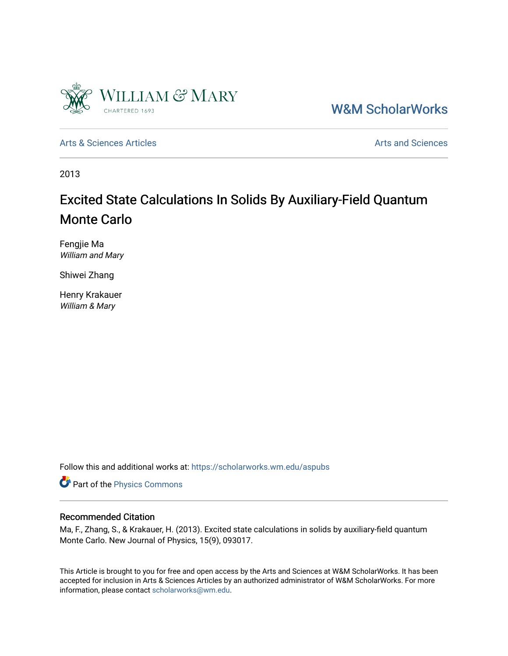

[W&M ScholarWorks](https://scholarworks.wm.edu/) 

[Arts & Sciences Articles](https://scholarworks.wm.edu/aspubs) **Articles** [Arts and Sciences](https://scholarworks.wm.edu/as) Articles Arts and Sciences Arts and Sciences

2013

### Excited State Calculations In Solids By Auxiliary-Field Quantum Monte Carlo

Fengjie Ma William and Mary

Shiwei Zhang

Henry Krakauer William & Mary

Follow this and additional works at: [https://scholarworks.wm.edu/aspubs](https://scholarworks.wm.edu/aspubs?utm_source=scholarworks.wm.edu%2Faspubs%2F1153&utm_medium=PDF&utm_campaign=PDFCoverPages) 

Part of the [Physics Commons](http://network.bepress.com/hgg/discipline/193?utm_source=scholarworks.wm.edu%2Faspubs%2F1153&utm_medium=PDF&utm_campaign=PDFCoverPages)

#### Recommended Citation

Ma, F., Zhang, S., & Krakauer, H. (2013). Excited state calculations in solids by auxiliary-field quantum Monte Carlo. New Journal of Physics, 15(9), 093017.

This Article is brought to you for free and open access by the Arts and Sciences at W&M ScholarWorks. It has been accepted for inclusion in Arts & Sciences Articles by an authorized administrator of W&M ScholarWorks. For more information, please contact [scholarworks@wm.edu](mailto:scholarworks@wm.edu).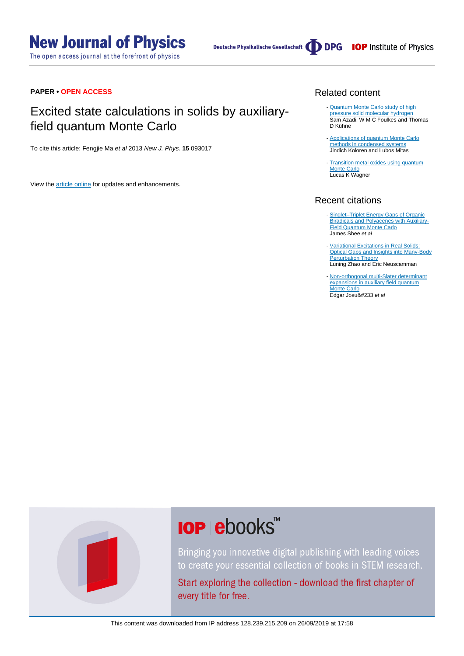The open access journal at the forefront of physics

Deutsche Physikalische Gesellschaft (DDPG IOP Institute of Physics

#### **PAPER • OPEN ACCESS**

### Excited state calculations in solids by auxiliaryfield quantum Monte Carlo

To cite this article: Fengjie Ma et al 2013 New J. Phys. **15** 093017

View the **[article online](https://doi.org/10.1088/1367-2630/15/9/093017)** for updates and enhancements.

#### Related content

- [Quantum Monte Carlo study of high](http://iopscience.iop.org/article/10.1088/1367-2630/15/11/113005) [pressure solid molecular hydrogen](http://iopscience.iop.org/article/10.1088/1367-2630/15/11/113005) Sam Azadi, W M C Foulkes and Thomas D Kühne
- [Applications of quantum Monte Carlo](http://iopscience.iop.org/article/10.1088/0034-4885/74/2/026502) [methods in condensed systems](http://iopscience.iop.org/article/10.1088/0034-4885/74/2/026502) Jindich Koloren and Lubos Mitas
- [Transition metal oxides using quantum](http://iopscience.iop.org/article/10.1088/0953-8984/19/34/343201) [Monte Carlo](http://iopscience.iop.org/article/10.1088/0953-8984/19/34/343201) **Lucas K Wagner**

#### Recent citations

- [Singlet–Triplet Energy Gaps of Organic](http://dx.doi.org/10.1021/acs.jctc.9b00534) **[Biradicals and Polyacenes with Auxiliary-](http://dx.doi.org/10.1021/acs.jctc.9b00534)**[Field Quantum Monte Carlo](http://dx.doi.org/10.1021/acs.jctc.9b00534) James Shee et al -
- [Variational Excitations in Real Solids:](http://dx.doi.org/10.1103/PhysRevLett.123.036402) [Optical Gaps and Insights into Many-Body](http://dx.doi.org/10.1103/PhysRevLett.123.036402) **[Perturbation Theory](http://dx.doi.org/10.1103/PhysRevLett.123.036402)** Luning Zhao and Eric Neuscamman
- [Non-orthogonal multi-Slater determinant](http://dx.doi.org/10.1063/1.5049143) [expansions in auxiliary field quantum](http://dx.doi.org/10.1063/1.5049143) [Monte Carlo](http://dx.doi.org/10.1063/1.5049143) Edgar Josu&#233 et al



# **IOP ebooks**™

Bringing you innovative digital publishing with leading voices to create your essential collection of books in STEM research.

Start exploring the collection - download the first chapter of every title for free.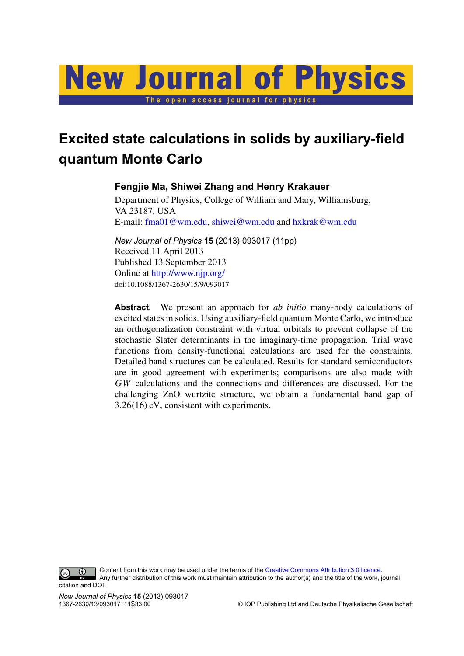# **New Journal of Physics** The open access journal for physics

## **Excited state calculations in solids by auxiliary-field quantum Monte Carlo**

#### **Fengjie Ma, Shiwei Zhang and Henry Krakauer**

Department of Physics, College of William and Mary, Williamsburg, VA 23187, USA E-mail: [fma01@wm.edu,](mailto:fma01@wm.edu) [shiwei@wm.edu](mailto:shiwei@wm.edu) and [hxkrak@wm.edu](mailto:hxkrak@wm.edu)

*New Journal of Physics* **15** (2013) 093017 (11pp) Received 11 April 2013 Published 13 September 2013 Online at <http://www.njp.org/> doi:10.1088/1367-2630/15/9/093017

**Abstract.** We present an approach for *ab initio* many-body calculations of excited states in solids. Using auxiliary-field quantum Monte Carlo, we introduce an orthogonalization constraint with virtual orbitals to prevent collapse of the stochastic Slater determinants in the imaginary-time propagation. Trial wave functions from density-functional calculations are used for the constraints. Detailed band structures can be calculated. Results for standard semiconductors are in good agreement with experiments; comparisons are also made with *GW* calculations and the connections and differences are discussed. For the challenging ZnO wurtzite structure, we obtain a fundamental band gap of 3.26(16) eV, consistent with experiments.

 $\odot$ 

Content from this work may be used under the terms of the [Creative Commons Attribution 3.0 licence.](http://creativecommons.org/licenses/by/3.0)

Any further distribution of this work must maintain attribution to the author(s) and the title of the work, journal citation and DOI.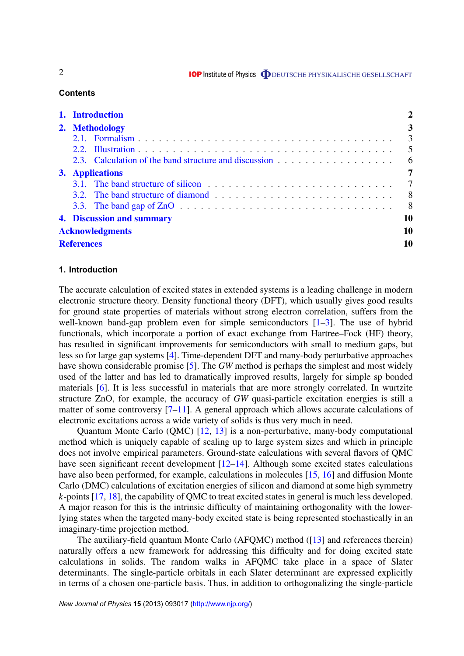**IOP** Institute of Physics **ODEUTSCHE PHYSIKALISCHE GESELLSCHAFT** 

#### **Contents**

|  | 1. Introduction<br>2. Methodology |                                                              |                          |  |  |  |  |  |
|--|-----------------------------------|--------------------------------------------------------------|--------------------------|--|--|--|--|--|
|  |                                   |                                                              |                          |  |  |  |  |  |
|  |                                   |                                                              | $\overline{\phantom{a}}$ |  |  |  |  |  |
|  |                                   |                                                              | $\overline{5}$           |  |  |  |  |  |
|  |                                   |                                                              |                          |  |  |  |  |  |
|  | 3. Applications                   |                                                              |                          |  |  |  |  |  |
|  |                                   | 3.1. The band structure of silicon $\ldots$ , , , , , , ,  7 |                          |  |  |  |  |  |
|  |                                   |                                                              |                          |  |  |  |  |  |
|  |                                   |                                                              | $8^{\circ}$              |  |  |  |  |  |
|  | 10<br>4. Discussion and summary   |                                                              |                          |  |  |  |  |  |
|  | <b>Acknowledgments</b>            |                                                              |                          |  |  |  |  |  |
|  | <b>References</b>                 |                                                              |                          |  |  |  |  |  |

#### **1. Introduction**

The accurate calculation of excited states in extended systems is a leading challenge in modern electronic structure theory. Density functional theory (DFT), which usually gives good results for ground state properties of materials without strong electron correlation, suffers from the well-known band-gap problem even for simple semiconductors  $[1-3]$ . The use of hybrid functionals, which incorporate a portion of exact exchange from Hartree–Fock (HF) theory, has resulted in significant improvements for semiconductors with small to medium gaps, but less so for large gap systems [\[4\]](#page-11-0). Time-dependent DFT and many-body perturbative approaches have shown considerable promise [\[5\]](#page-11-0). The *GW* method is perhaps the simplest and most widely used of the latter and has led to dramatically improved results, largely for simple sp bonded materials [\[6\]](#page-11-0). It is less successful in materials that are more strongly correlated. In wurtzite structure ZnO, for example, the accuracy of *GW* quasi-particle excitation energies is still a matter of some controversy [\[7–11\]](#page-12-0). A general approach which allows accurate calculations of electronic excitations across a wide variety of solids is thus very much in need.

Quantum Monte Carlo (QMC) [\[12,](#page-12-0) [13\]](#page-12-0) is a non-perturbative, many-body computational method which is uniquely capable of scaling up to large system sizes and which in principle does not involve empirical parameters. Ground-state calculations with several flavors of QMC have seen significant recent development [\[12–14\]](#page-12-0). Although some excited states calculations have also been performed, for example, calculations in molecules [\[15,](#page-12-0) [16\]](#page-12-0) and diffusion Monte Carlo (DMC) calculations of excitation energies of silicon and diamond at some high symmetry *k*-points [\[17,](#page-12-0) [18\]](#page-12-0), the capability of QMC to treat excited states in general is much less developed. A major reason for this is the intrinsic difficulty of maintaining orthogonality with the lowerlying states when the targeted many-body excited state is being represented stochastically in an imaginary-time projection method.

The auxiliary-field quantum Monte Carlo (AFQMC) method ([\[13\]](#page-12-0) and references therein) naturally offers a new framework for addressing this difficulty and for doing excited state calculations in solids. The random walks in AFQMC take place in a space of Slater determinants. The single-particle orbitals in each Slater determinant are expressed explicitly in terms of a chosen one-particle basis. Thus, in addition to orthogonalizing the single-particle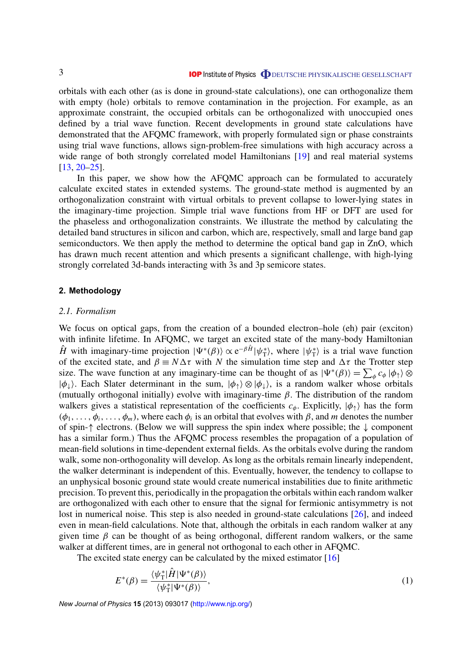<span id="page-4-0"></span>orbitals with each other (as is done in ground-state calculations), one can orthogonalize them with empty (hole) orbitals to remove contamination in the projection. For example, as an approximate constraint, the occupied orbitals can be orthogonalized with unoccupied ones defined by a trial wave function. Recent developments in ground state calculations have demonstrated that the AFQMC framework, with properly formulated sign or phase constraints using trial wave functions, allows sign-problem-free simulations with high accuracy across a wide range of both strongly correlated model Hamiltonians [\[19\]](#page-12-0) and real material systems [\[13,](#page-12-0) [20–25\]](#page-12-0).

In this paper, we show how the AFQMC approach can be formulated to accurately calculate excited states in extended systems. The ground-state method is augmented by an orthogonalization constraint with virtual orbitals to prevent collapse to lower-lying states in the imaginary-time projection. Simple trial wave functions from HF or DFT are used for the phaseless and orthogonalization constraints. We illustrate the method by calculating the detailed band structures in silicon and carbon, which are, respectively, small and large band gap semiconductors. We then apply the method to determine the optical band gap in ZnO, which has drawn much recent attention and which presents a significant challenge, with high-lying strongly correlated 3d-bands interacting with 3s and 3p semicore states.

#### **2. Methodology**

#### *2.1. Formalism*

We focus on optical gaps, from the creation of a bounded electron–hole (eh) pair (exciton) with infinite lifetime. In AFQMC, we target an excited state of the many-body Hamiltonian  $\hat{H}$  with imaginary-time projection  $|\Psi^*(\beta)\rangle \propto e^{-\beta \hat{H}} |\psi^*_{\text{T}}\rangle$  $\langle \phi_T^* \rangle$ , where  $|\psi_T^* \rangle$  $\langle \uparrow \rangle$  is a trial wave function of the excited state, and  $\beta = N\Delta \tau$  with *N* the simulation time step and  $\Delta \tau$  the Trotter step size. The wave function at any imaginary-time can be thought of as  $|\Psi^*(\beta)\rangle = \sum_{\phi} c_{\phi} |\phi_{\uparrow}\rangle \otimes$  $|\phi_{\perp}\rangle$ . Each Slater determinant in the sum,  $|\phi_{\uparrow}\rangle \otimes |\phi_{\perp}\rangle$ , is a random walker whose orbitals (mutually orthogonal initially) evolve with imaginary-time  $\beta$ . The distribution of the random walkers gives a statistical representation of the coefficients  $c_{\phi}$ . Explicitly,  $|\phi_{\uparrow}\rangle$  has the form  $(\phi_1, \ldots, \phi_i, \ldots, \phi_m)$ , where each  $\phi_i$  is an orbital that evolves with  $\beta$ , and *m* denotes the number of spin-↑ electrons. (Below we will suppress the spin index where possible; the ↓ component has a similar form.) Thus the AFQMC process resembles the propagation of a population of mean-field solutions in time-dependent external fields. As the orbitals evolve during the random walk, some non-orthogonality will develop. As long as the orbitals remain linearly independent, the walker determinant is independent of this. Eventually, however, the tendency to collapse to an unphysical bosonic ground state would create numerical instabilities due to finite arithmetic precision. To prevent this, periodically in the propagation the orbitals within each random walker are orthogonalized with each other to ensure that the signal for fermionic antisymmetry is not lost in numerical noise. This step is also needed in ground-state calculations [\[26\]](#page-12-0), and indeed even in mean-field calculations. Note that, although the orbitals in each random walker at any given time  $\beta$  can be thought of as being orthogonal, different random walkers, or the same walker at different times, are in general not orthogonal to each other in AFQMC.

The excited state energy can be calculated by the mixed estimator [\[16\]](#page-12-0)

$$
E^*(\beta) = \frac{\langle \psi_{\mathcal{T}}^* | \hat{H} | \Psi^*(\beta) \rangle}{\langle \psi_{\mathcal{T}}^* | \Psi^*(\beta) \rangle},\tag{1}
$$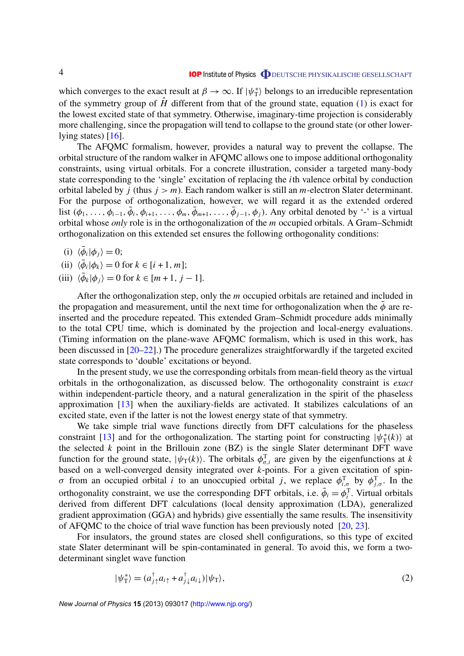<span id="page-5-0"></span>which converges to the exact result at  $\beta \to \infty$ . If  $|\psi_{\rm T}^*|$  $\binom{*}{T}$  belongs to an irreducible representation of the symmetry group of  $\hat{H}$  different from that of the ground state, equation [\(1\)](#page-4-0) is exact for the lowest excited state of that symmetry. Otherwise, imaginary-time projection is considerably more challenging, since the propagation will tend to collapse to the ground state (or other lowerlying states)  $[16]$ .

The AFQMC formalism, however, provides a natural way to prevent the collapse. The orbital structure of the random walker in AFQMC allows one to impose additional orthogonality constraints, using virtual orbitals. For a concrete illustration, consider a targeted many-body state corresponding to the 'single' excitation of replacing the *i*th valence orbital by conduction orbital labeled by *j* (thus  $j > m$ ). Each random walker is still an *m*-electron Slater determinant. For the purpose of orthogonalization, however, we will regard it as the extended ordered list  $(\phi_1, \ldots, \phi_{i-1}, \bar{\phi}_i, \phi_{i+1}, \ldots, \phi_m, \bar{\phi}_{m+1}, \ldots, \bar{\phi}_{j-1}, \phi_j)$ . Any orbital denoted by '-' is a virtual orbital whose *only* role is in the orthogonalization of the *m* occupied orbitals. A Gram–Schmidt orthogonalization on this extended set ensures the following orthogonality conditions:

(i)  $\langle \bar{\phi}_i | \phi_j \rangle = 0;$ 

- (ii)  $\langle \bar{\phi}_i | \phi_k \rangle = 0$  for  $k \in [i + 1, m];$
- (iii)  $\langle \bar{\phi}_k | \phi_j \rangle = 0$  for  $k \in [m + 1, j 1].$

After the orthogonalization step, only the *m* occupied orbitals are retained and included in the propagation and measurement, until the next time for orthogonalization when the  $\phi$  are reinserted and the procedure repeated. This extended Gram–Schmidt procedure adds minimally to the total CPU time, which is dominated by the projection and local-energy evaluations. (Timing information on the plane-wave AFQMC formalism, which is used in this work, has been discussed in [\[20–22\]](#page-12-0).) The procedure generalizes straightforwardly if the targeted excited state corresponds to 'double' excitations or beyond.

In the present study, we use the corresponding orbitals from mean-field theory as the virtual orbitals in the orthogonalization, as discussed below. The orthogonality constraint is *exact* within independent-particle theory, and a natural generalization in the spirit of the phaseless approximation [\[13\]](#page-12-0) when the auxiliary-fields are activated. It stabilizes calculations of an excited state, even if the latter is not the lowest energy state of that symmetry.

We take simple trial wave functions directly from DFT calculations for the phaseless constraint [\[13\]](#page-12-0) and for the orthogonalization. The starting point for constructing  $|\psi_{\perp}^*|$  $\langle f^*(k) \rangle$  at the selected  $k$  point in the Brillouin zone  $(BZ)$  is the single Slater determinant DFT wave function for the ground state,  $|\psi_{T}(k)\rangle$ . The orbitals  $\phi_{\sigma,i}^{T}$  are given by the eigenfunctions at *k* based on a well-converged density integrated over *k*-points. For a given excitation of spinσ from an occupied orbital *i* to an unoccupied orbital *j*, we replace  $φ_{i,σ}^T$  by  $φ_{j,σ}^T$ . In the orthogonality constraint, we use the corresponding DFT orbitals, i.e.  $\bar{\phi}_i = \phi_i^T$ . Virtual orbitals derived from different DFT calculations (local density approximation (LDA), generalized gradient approximation (GGA) and hybrids) give essentially the same results. The insensitivity of AFQMC to the choice of trial wave function has been previously noted  $[20, 23]$  $[20, 23]$  $[20, 23]$ .

For insulators, the ground states are closed shell configurations, so this type of excited state Slater determinant will be spin-contaminated in general. To avoid this, we form a twodeterminant singlet wave function

$$
|\psi_{\mathcal{T}}^*\rangle = (a_{j\uparrow}^\dagger a_{i\uparrow} + a_{j\downarrow}^\dagger a_{i\downarrow})|\psi_{\mathcal{T}}\rangle,\tag{2}
$$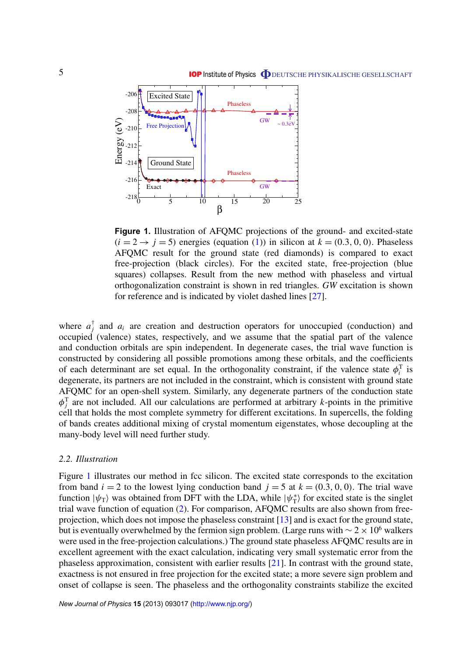<span id="page-6-0"></span>

**Figure 1.** Illustration of AFQMC projections of the ground- and excited-state  $(i = 2 \rightarrow j = 5)$  energies (equation [\(1\)](#page-4-0)) in silicon at  $k = (0.3, 0, 0)$ . Phaseless AFQMC result for the ground state (red diamonds) is compared to exact free-projection (black circles). For the excited state, free-projection (blue squares) collapses. Result from the new method with phaseless and virtual orthogonalization constraint is shown in red triangles. *GW* excitation is shown for reference and is indicated by violet dashed lines [\[27\]](#page-12-0).

where  $a_i^{\dagger}$  $\bar{j}$  and  $a_i$  are creation and destruction operators for unoccupied (conduction) and occupied (valence) states, respectively, and we assume that the spatial part of the valence and conduction orbitals are spin independent. In degenerate cases, the trial wave function is constructed by considering all possible promotions among these orbitals, and the coefficients of each determinant are set equal. In the orthogonality constraint, if the valence state  $\phi_i^T$  is degenerate, its partners are not included in the constraint, which is consistent with ground state AFQMC for an open-shell system. Similarly, any degenerate partners of the conduction state  $\phi_j^T$  are not included. All our calculations are performed at arbitrary *k*-points in the primitive cell that holds the most complete symmetry for different excitations. In supercells, the folding of bands creates additional mixing of crystal momentum eigenstates, whose decoupling at the many-body level will need further study.

#### *2.2. Illustration*

Figure 1 illustrates our method in fcc silicon. The excited state corresponds to the excitation from band  $i = 2$  to the lowest lying conduction band  $j = 5$  at  $k = (0.3, 0, 0)$ . The trial wave function  $|\psi_{\text{T}}\rangle$  was obtained from DFT with the LDA, while  $|\psi_{\text{T}}^*\rangle$  $\binom{*}{T}$  for excited state is the singlet trial wave function of equation [\(2\)](#page-5-0). For comparison, AFQMC results are also shown from freeprojection, which does not impose the phaseless constraint [\[13\]](#page-12-0) and is exact for the ground state, but is eventually overwhelmed by the fermion sign problem. (Large runs with  $\sim 2 \times 10^6$  walkers were used in the free-projection calculations.) The ground state phaseless AFQMC results are in excellent agreement with the exact calculation, indicating very small systematic error from the phaseless approximation, consistent with earlier results [\[21\]](#page-12-0). In contrast with the ground state, exactness is not ensured in free projection for the excited state; a more severe sign problem and onset of collapse is seen. The phaseless and the orthogonality constraints stabilize the excited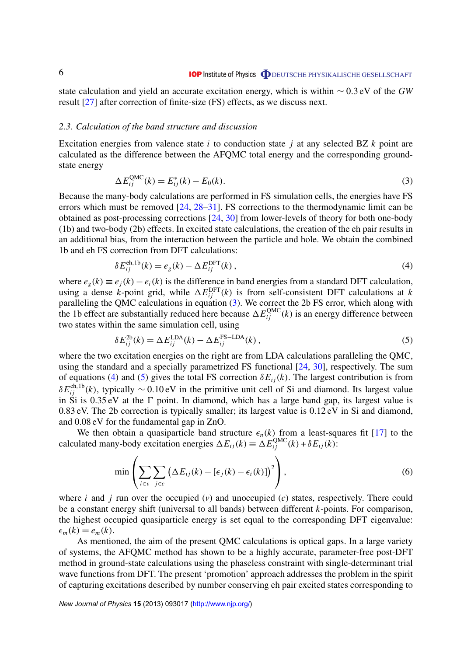<span id="page-7-0"></span>state calculation and yield an accurate excitation energy, which is within ∼ 0.3 eV of the *GW* result [\[27\]](#page-12-0) after correction of finite-size (FS) effects, as we discuss next.

#### *2.3. Calculation of the band structure and discussion*

Excitation energies from valence state *i* to conduction state *j* at any selected BZ *k* point are calculated as the difference between the AFQMC total energy and the corresponding groundstate energy

$$
\Delta E_{ij}^{\text{QMC}}(k) = E_{ij}^*(k) - E_0(k). \tag{3}
$$

Because the many-body calculations are performed in FS simulation cells, the energies have FS errors which must be removed [\[24,](#page-12-0) [28–31\]](#page-12-0). FS corrections to the thermodynamic limit can be obtained as post-processing corrections [\[24,](#page-12-0) [30\]](#page-12-0) from lower-levels of theory for both one-body (1b) and two-body (2b) effects. In excited state calculations, the creation of the eh pair results in an additional bias, from the interaction between the particle and hole. We obtain the combined 1b and eh FS correction from DFT calculations:

$$
\delta E_{ij}^{\text{eh,1b}}(k) = e_g(k) - \Delta E_{ij}^{\text{DFT}}(k) , \qquad (4)
$$

where  $e_g(k) \equiv e_i(k) - e_i(k)$  is the difference in band energies from a standard DFT calculation, using a dense *k*-point grid, while  $\Delta E_{ij}^{\text{DFT}}(k)$  is from self-consistent DFT calculations at *k* paralleling the QMC calculations in equation (3). We correct the 2b FS error, which along with the 1b effect are substantially reduced here because  $\Delta E_{ij}^{\text{QMC}}(k)$  is an energy difference between two states within the same simulation cell, using

$$
\delta E_{ij}^{2b}(k) = \Delta E_{ij}^{\text{LDA}}(k) - \Delta E_{ij}^{\text{FS-LDA}}(k) ,\qquad (5)
$$

where the two excitation energies on the right are from LDA calculations paralleling the QMC, using the standard and a specially parametrized FS functional [\[24,](#page-12-0) [30\]](#page-12-0), respectively. The sum of equations (4) and (5) gives the total FS correction  $\delta E_{ij}(k)$ . The largest contribution is from  $\delta E_{ij}^{\text{eh,1b}}(k)$ , typically  $\sim 0.10 \text{ eV}$  in the primitive unit cell of Si and diamond. Its largest value in Si is  $0.35 \text{ eV}$  at the  $\Gamma$  point. In diamond, which has a large band gap, its largest value is 0.83 eV. The 2b correction is typically smaller; its largest value is 0.12 eV in Si and diamond, and 0.08 eV for the fundamental gap in ZnO.

We then obtain a quasiparticle band structure  $\epsilon_n(k)$  from a least-squares fit [\[17\]](#page-12-0) to the calculated many-body excitation energies  $\Delta E_{ij}(k) \equiv \Delta E_{ij}^{\text{QMC}}(k) + \delta E_{ij}(k)$ :

$$
\min\left(\sum_{i\in v}\sum_{j\in c}\left(\Delta E_{ij}(k)-\left[\epsilon_j(k)-\epsilon_i(k)\right]\right)^2\right),\tag{6}
$$

where *i* and *j* run over the occupied (*v*) and unoccupied (*c*) states, respectively. There could be a constant energy shift (universal to all bands) between different *k*-points. For comparison, the highest occupied quasiparticle energy is set equal to the corresponding DFT eigenvalue:  $\epsilon_m(k) = e_m(k)$ .

As mentioned, the aim of the present QMC calculations is optical gaps. In a large variety of systems, the AFQMC method has shown to be a highly accurate, parameter-free post-DFT method in ground-state calculations using the phaseless constraint with single-determinant trial wave functions from DFT. The present 'promotion' approach addresses the problem in the spirit of capturing excitations described by number conserving eh pair excited states corresponding to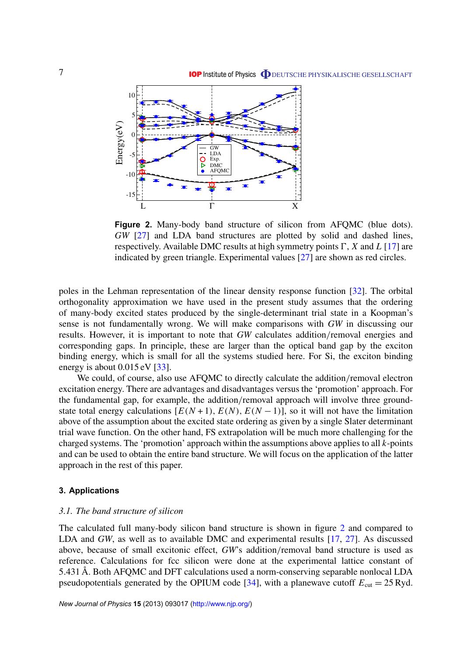<span id="page-8-0"></span>

**Figure 2.** Many-body band structure of silicon from AFQMC (blue dots). *GW* [\[27\]](#page-12-0) and LDA band structures are plotted by solid and dashed lines, respectively. Available DMC results at high symmetry points  $\Gamma$ , *X* and *L* [\[17\]](#page-12-0) are indicated by green triangle. Experimental values [\[27\]](#page-12-0) are shown as red circles.

poles in the Lehman representation of the linear density response function [\[32\]](#page-12-0). The orbital orthogonality approximation we have used in the present study assumes that the ordering of many-body excited states produced by the single-determinant trial state in a Koopman's sense is not fundamentally wrong. We will make comparisons with *GW* in discussing our results. However, it is important to note that *GW* calculates addition/removal energies and corresponding gaps. In principle, these are larger than the optical band gap by the exciton binding energy, which is small for all the systems studied here. For Si, the exciton binding energy is about  $0.015 \text{ eV}$  [\[33\]](#page-12-0).

We could, of course, also use AFQMC to directly calculate the addition/removal electron excitation energy. There are advantages and disadvantages versus the 'promotion' approach. For the fundamental gap, for example, the addition/removal approach will involve three groundstate total energy calculations  $[E(N+1), E(N), E(N-1)]$ , so it will not have the limitation above of the assumption about the excited state ordering as given by a single Slater determinant trial wave function. On the other hand, FS extrapolation will be much more challenging for the charged systems. The 'promotion' approach within the assumptions above applies to all *k*-points and can be used to obtain the entire band structure. We will focus on the application of the latter approach in the rest of this paper.

#### **3. Applications**

#### *3.1. The band structure of silicon*

The calculated full many-body silicon band structure is shown in figure 2 and compared to LDA and *GW*, as well as to available DMC and experimental results [\[17,](#page-12-0) [27\]](#page-12-0). As discussed above, because of small excitonic effect, *GW*'s addition/removal band structure is used as reference. Calculations for fcc silicon were done at the experimental lattice constant of 5.431 Å. Both AFQMC and DFT calculations used a norm-conserving separable nonlocal LDA pseudopotentials generated by the OPIUM code [\[34\]](#page-12-0), with a planewave cutoff  $E_{\text{cut}} = 25 \text{ Ryd}$ .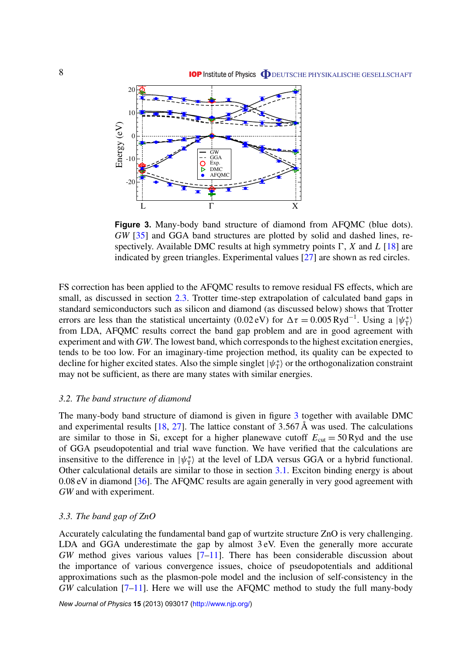<span id="page-9-0"></span>

**Figure 3.** Many-body band structure of diamond from AFQMC (blue dots). *GW* [\[35\]](#page-12-0) and GGA band structures are plotted by solid and dashed lines, respectively. Available DMC results at high symmetry points  $\Gamma$ , *X* and *L* [\[18\]](#page-12-0) are indicated by green triangles. Experimental values [\[27\]](#page-12-0) are shown as red circles.

FS correction has been applied to the AFQMC results to remove residual FS effects, which are small, as discussed in section [2.3.](#page-7-0) Trotter time-step extrapolation of calculated band gaps in standard semiconductors such as silicon and diamond (as discussed below) shows that Trotter errors are less than the statistical uncertainty (0.02 eV) for  $\Delta \tau = 0.005 \text{ Ryd}^{-1}$ . Using a  $|\psi_{\tau}^*|$  $\langle \rangle_{\rm T}^*$ from LDA, AFQMC results correct the band gap problem and are in good agreement with experiment and with *GW*. The lowest band, which corresponds to the highest excitation energies, tends to be too low. For an imaginary-time projection method, its quality can be expected to decline for higher excited states. Also the simple singlet  $|\psi_{\text{T}}^*|$  $\langle \uparrow \rangle$  or the orthogonalization constraint may not be sufficient, as there are many states with similar energies.

#### *3.2. The band structure of diamond*

The many-body band structure of diamond is given in figure 3 together with available DMC and experimental results  $[18, 27]$  $[18, 27]$  $[18, 27]$ . The lattice constant of 3.567 Å was used. The calculations are similar to those in Si, except for a higher planewave cutoff  $E_{\text{cut}} = 50 \text{ Ryd}$  and the use of GGA pseudopotential and trial wave function. We have verified that the calculations are insensitive to the difference in  $|\psi_{\text{T}}^*|$  $\langle T \rangle$  at the level of LDA versus GGA or a hybrid functional. Other calculational details are similar to those in section [3.1.](#page-8-0) Exciton binding energy is about 0.08 eV in diamond [\[36\]](#page-12-0). The AFQMC results are again generally in very good agreement with *GW* and with experiment.

#### *3.3. The band gap of ZnO*

Accurately calculating the fundamental band gap of wurtzite structure ZnO is very challenging. LDA and GGA underestimate the gap by almost 3 eV. Even the generally more accurate *GW* method gives various values [\[7–11\]](#page-12-0). There has been considerable discussion about the importance of various convergence issues, choice of pseudopotentials and additional approximations such as the plasmon-pole model and the inclusion of self-consistency in the *GW* calculation [\[7–11\]](#page-12-0). Here we will use the AFQMC method to study the full many-body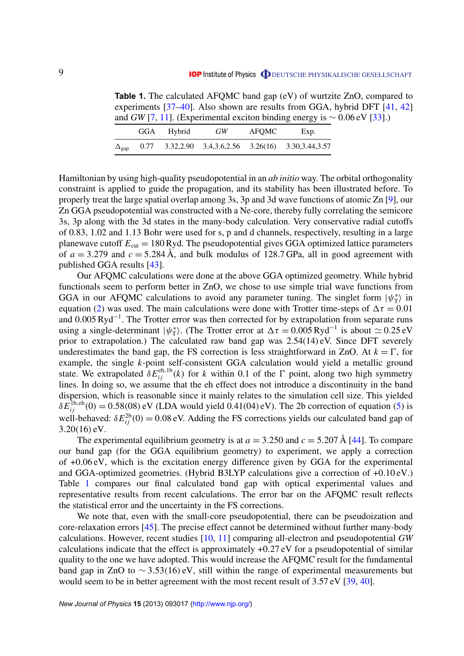**Table 1.** The calculated AFQMC band gap (eV) of wurtzite ZnO, compared to experiments [\[37–40\]](#page-12-0). Also shown are results from GGA, hybrid DFT [\[41,](#page-12-0) [42\]](#page-12-0) and *GW* [\[7,](#page-12-0) [11\]](#page-12-0). (Experimental exciton binding energy is  $\sim 0.06$  eV [\[33\]](#page-12-0).)

|                    | GGA Hybrid | GW | <b>AFOMC</b> | Exp.                                                          |
|--------------------|------------|----|--------------|---------------------------------------------------------------|
| $\Delta_{\rm gap}$ |            |    |              | $0.77$ $3.32,2.90$ $3.4,3.6,2.56$ $3.26(16)$ $3.30,3.44,3.57$ |

Hamiltonian by using high-quality pseudopotential in an *ab initio* way. The orbital orthogonality constraint is applied to guide the propagation, and its stability has been illustrated before. To properly treat the large spatial overlap among 3s, 3p and 3d wave functions of atomic Zn [\[9\]](#page-12-0), our Zn GGA pseudopotential was constructed with a Ne-core, thereby fully correlating the semicore 3s, 3p along with the 3d states in the many-body calculation. Very conservative radial cutoffs of 0.83, 1.02 and 1.13 Bohr were used for s, p and d channels, respectively, resulting in a large planewave cutoff  $E_{\text{cut}} = 180$  Ryd. The pseudopotential gives GGA optimized lattice parameters of  $a = 3.279$  and  $c = 5.284$  Å, and bulk modulus of 128.7 GPa, all in good agreement with published GGA results [\[43\]](#page-12-0).

Our AFQMC calculations were done at the above GGA optimized geometry. While hybrid functionals seem to perform better in ZnO, we chose to use simple trial wave functions from GGA in our AFQMC calculations to avoid any parameter tuning. The singlet form  $|\psi_{\text{T}}^*|$  $\langle \uparrow \rangle$  in equation [\(2\)](#page-5-0) was used. The main calculations were done with Trotter time-steps of  $\Delta \tau = 0.01$ and 0.005 Ryd<sup>-1</sup>. The Trotter error was then corrected for by extrapolation from separate runs using a single-determinant  $|\psi_{\text{T}}^*|$ <sup>\*</sup><sub>T</sub>). (The Trotter error at  $\Delta \tau = 0.005$  Ryd<sup>-1</sup> is about  $\simeq 0.25$  eV prior to extrapolation.) The calculated raw band gap was 2.54(14) eV. Since DFT severely underestimates the band gap, the FS correction is less straightforward in ZnO. At  $k = \Gamma$ , for example, the single *k*-point self-consistent GGA calculation would yield a metallic ground state. We extrapolated  $\delta E_{ij}^{\text{eh,1b}}(k)$  for *k* within 0.1 of the  $\Gamma$  point, along two high symmetry lines. In doing so, we assume that the eh effect does not introduce a discontinuity in the band dispersion, which is reasonable since it mainly relates to the simulation cell size. This yielded  $\delta E_{ij}^{\text{1b,eh}}(0) = 0.58(08)$  eV (LDA would yield 0.41(04) eV). The 2b correction of equation [\(5\)](#page-7-0) is well-behaved:  $\delta E_{ij}^{2b}(0) = 0.08$  eV. Adding the FS corrections yields our calculated band gap of 3.20(16) eV.

The experimental equilibrium geometry is at  $a = 3.250$  and  $c = 5.207$  Å [\[44\]](#page-12-0). To compare our band gap (for the GGA equilibrium geometry) to experiment, we apply a correction of +0.06 eV, which is the excitation energy difference given by GGA for the experimental and GGA-optimized geometries. (Hybrid B3LYP calculations give a correction of +0.10 eV.) Table 1 compares our final calculated band gap with optical experimental values and representative results from recent calculations. The error bar on the AFQMC result reflects the statistical error and the uncertainty in the FS corrections.

We note that, even with the small-core pseudopotential, there can be pseudoization and core-relaxation errors [\[45\]](#page-12-0). The precise effect cannot be determined without further many-body calculations. However, recent studies [\[10,](#page-12-0) [11\]](#page-12-0) comparing all-electron and pseudopotential *GW* calculations indicate that the effect is approximately +0.27 eV for a pseudopotential of similar quality to the one we have adopted. This would increase the AFQMC result for the fundamental band gap in ZnO to  $\sim$  3.53(16) eV, still within the range of experimental measurements but would seem to be in better agreement with the most recent result of 3.57 eV [\[39,](#page-12-0) [40\]](#page-12-0).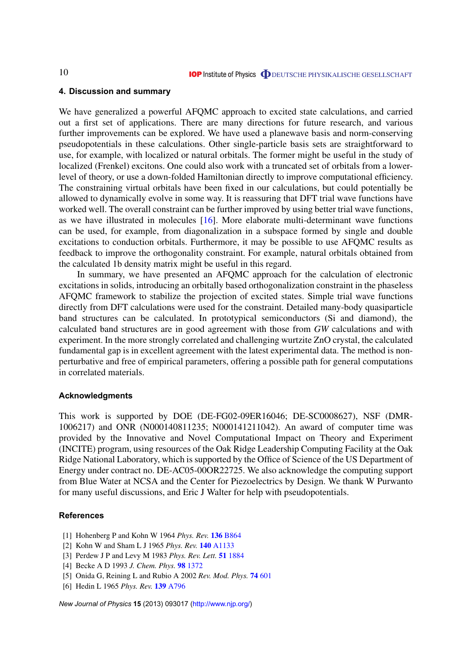#### <span id="page-11-0"></span>**4. Discussion and summary**

We have generalized a powerful AFQMC approach to excited state calculations, and carried out a first set of applications. There are many directions for future research, and various further improvements can be explored. We have used a planewave basis and norm-conserving pseudopotentials in these calculations. Other single-particle basis sets are straightforward to use, for example, with localized or natural orbitals. The former might be useful in the study of localized (Frenkel) excitons. One could also work with a truncated set of orbitals from a lowerlevel of theory, or use a down-folded Hamiltonian directly to improve computational efficiency. The constraining virtual orbitals have been fixed in our calculations, but could potentially be allowed to dynamically evolve in some way. It is reassuring that DFT trial wave functions have worked well. The overall constraint can be further improved by using better trial wave functions, as we have illustrated in molecules [\[16\]](#page-12-0). More elaborate multi-determinant wave functions can be used, for example, from diagonalization in a subspace formed by single and double excitations to conduction orbitals. Furthermore, it may be possible to use AFQMC results as feedback to improve the orthogonality constraint. For example, natural orbitals obtained from the calculated 1b density matrix might be useful in this regard.

In summary, we have presented an AFQMC approach for the calculation of electronic excitations in solids, introducing an orbitally based orthogonalization constraint in the phaseless AFQMC framework to stabilize the projection of excited states. Simple trial wave functions directly from DFT calculations were used for the constraint. Detailed many-body quasiparticle band structures can be calculated. In prototypical semiconductors (Si and diamond), the calculated band structures are in good agreement with those from *GW* calculations and with experiment. In the more strongly correlated and challenging wurtzite ZnO crystal, the calculated fundamental gap is in excellent agreement with the latest experimental data. The method is nonperturbative and free of empirical parameters, offering a possible path for general computations in correlated materials.

#### **Acknowledgments**

This work is supported by DOE (DE-FG02-09ER16046; DE-SC0008627), NSF (DMR-1006217) and ONR (N000140811235; N000141211042). An award of computer time was provided by the Innovative and Novel Computational Impact on Theory and Experiment (INCITE) program, using resources of the Oak Ridge Leadership Computing Facility at the Oak Ridge National Laboratory, which is supported by the Office of Science of the US Department of Energy under contract no. DE-AC05-00OR22725. We also acknowledge the computing support from Blue Water at NCSA and the Center for Piezoelectrics by Design. We thank W Purwanto for many useful discussions, and Eric J Walter for help with pseudopotentials.

#### **References**

- [1] Hohenberg P and Kohn W 1964 *Phys. Rev.* **136** [B864](http://dx.doi.org/10.1103/PhysRev.136.B864)
- [2] Kohn W and Sham L J 1965 *Phys. Rev.* **140** [A1133](http://dx.doi.org/10.1103/PhysRev.140.A1133)
- [3] Perdew J P and Levy M 1983 *Phys. Rev. Lett.* **51** [1884](http://dx.doi.org/10.1103/PhysRevLett.51.1884)
- [4] Becke A D 1993 *J. Chem. Phys.* **98** [1372](http://dx.doi.org/10.1063/1.464304)
- [5] Onida G, Reining L and Rubio A 2002 *Rev. Mod. Phys.* **74** [601](http://dx.doi.org/10.1103/RevModPhys.74.601)
- [6] Hedin L 1965 *Phys. Rev.* **139** [A796](http://dx.doi.org/10.1103/PhysRev.139.A796)